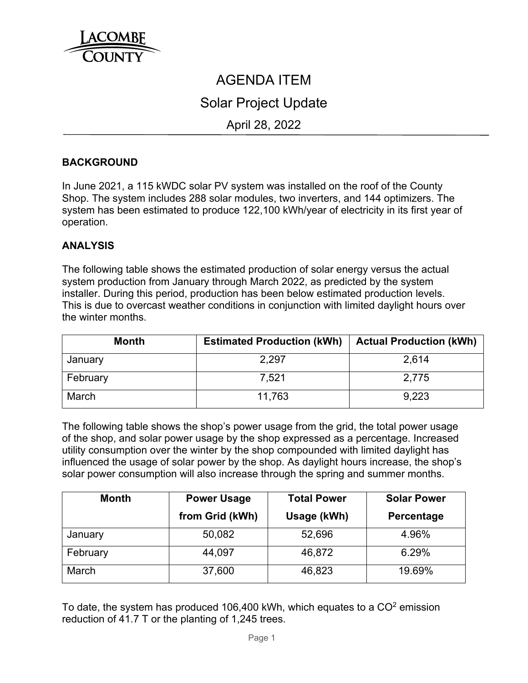

# AGENDA ITEM Solar Project Update April 28, 2022

## **BACKGROUND**

In June 2021, a 115 kWDC solar PV system was installed on the roof of the County Shop. The system includes 288 solar modules, two inverters, and 144 optimizers. The system has been estimated to produce 122,100 kWh/year of electricity in its first year of operation.

#### **ANALYSIS**

The following table shows the estimated production of solar energy versus the actual system production from January through March 2022, as predicted by the system installer. During this period, production has been below estimated production levels. This is due to overcast weather conditions in conjunction with limited daylight hours over the winter months.

| <b>Month</b> | <b>Estimated Production (kWh)</b> | <b>Actual Production (kWh)</b> |
|--------------|-----------------------------------|--------------------------------|
| January      | 2.297                             | 2.614                          |
| February     | 7.521                             | 2,775                          |
| March        | 11.763                            | 9.223                          |

The following table shows the shop's power usage from the grid, the total power usage of the shop, and solar power usage by the shop expressed as a percentage. Increased utility consumption over the winter by the shop compounded with limited daylight has influenced the usage of solar power by the shop. As daylight hours increase, the shop's solar power consumption will also increase through the spring and summer months.

| <b>Month</b> | <b>Power Usage</b> | <b>Total Power</b> | <b>Solar Power</b> |
|--------------|--------------------|--------------------|--------------------|
|              | from Grid (kWh)    | Usage (kWh)        | <b>Percentage</b>  |
| January      | 50,082             | 52,696             | 4.96%              |
| February     | 44,097             | 46,872             | 6.29%              |
| March        | 37,600             | 46,823             | 19.69%             |

To date, the system has produced 106,400 kWh, which equates to a  $CO<sup>2</sup>$  emission reduction of 41.7 T or the planting of 1,245 trees.